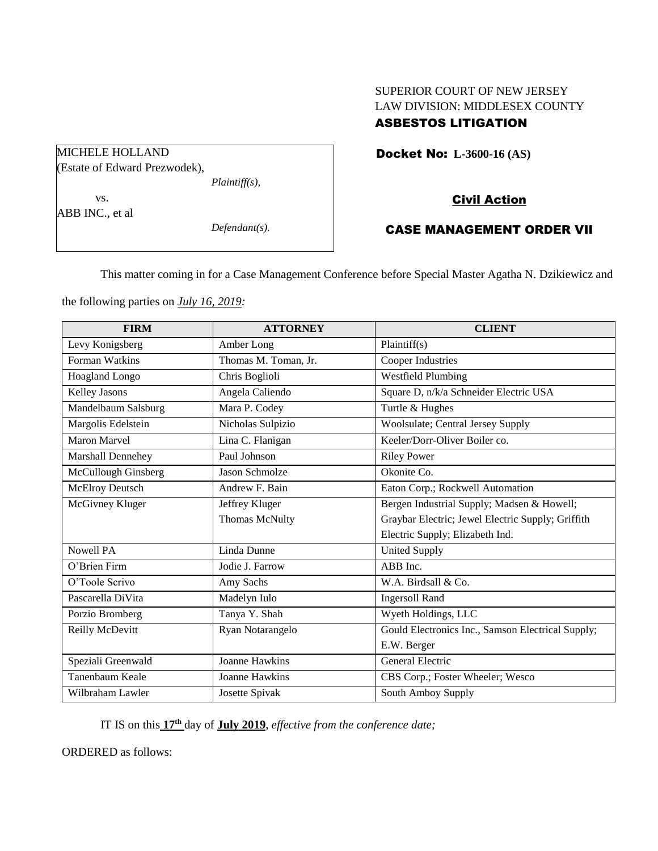# SUPERIOR COURT OF NEW JERSEY LAW DIVISION: MIDDLESEX COUNTY

# ASBESTOS LITIGATION

Docket No: **L-3600-16 (AS)** 

## Civil Action

# CASE MANAGEMENT ORDER VII

This matter coming in for a Case Management Conference before Special Master Agatha N. Dzikiewicz and

the following parties on *July 16, 2019:*

| <b>FIRM</b>            | <b>ATTORNEY</b>       | <b>CLIENT</b>                                     |
|------------------------|-----------------------|---------------------------------------------------|
| Levy Konigsberg        | Amber Long            | Plaintiff(s)                                      |
| <b>Forman Watkins</b>  | Thomas M. Toman, Jr.  | Cooper Industries                                 |
| Hoagland Longo         | Chris Boglioli        | <b>Westfield Plumbing</b>                         |
| Kelley Jasons          | Angela Caliendo       | Square D, n/k/a Schneider Electric USA            |
| Mandelbaum Salsburg    | Mara P. Codey         | Turtle & Hughes                                   |
| Margolis Edelstein     | Nicholas Sulpizio     | Woolsulate; Central Jersey Supply                 |
| <b>Maron Marvel</b>    | Lina C. Flanigan      | Keeler/Dorr-Oliver Boiler co.                     |
| Marshall Dennehey      | Paul Johnson          | <b>Riley Power</b>                                |
| McCullough Ginsberg    | <b>Jason Schmolze</b> | Okonite Co.                                       |
| <b>McElroy Deutsch</b> | Andrew F. Bain        | Eaton Corp.; Rockwell Automation                  |
| McGivney Kluger        | Jeffrey Kluger        | Bergen Industrial Supply; Madsen & Howell;        |
|                        | Thomas McNulty        | Graybar Electric; Jewel Electric Supply; Griffith |
|                        |                       | Electric Supply; Elizabeth Ind.                   |
| <b>Nowell PA</b>       | Linda Dunne           | <b>United Supply</b>                              |
| O'Brien Firm           | Jodie J. Farrow       | ABB Inc.                                          |
| O'Toole Scrivo         | Amy Sachs             | W.A. Birdsall & Co.                               |
| Pascarella DiVita      | Madelyn Iulo          | <b>Ingersoll Rand</b>                             |
| Porzio Bromberg        | Tanya Y. Shah         | Wyeth Holdings, LLC                               |
| Reilly McDevitt        | Ryan Notarangelo      | Gould Electronics Inc., Samson Electrical Supply; |
|                        |                       | E.W. Berger                                       |
| Speziali Greenwald     | <b>Joanne Hawkins</b> | General Electric                                  |
| Tanenbaum Keale        | Joanne Hawkins        | CBS Corp.; Foster Wheeler; Wesco                  |
| Wilbraham Lawler       | Josette Spivak        | South Amboy Supply                                |

IT IS on this **17 th** day of **July 2019**, *effective from the conference date;*

ORDERED as follows:

MICHELE HOLLAND (Estate of Edward Prezwodek), *Plaintiff(s),*

vs.

ABB INC., et al

*Defendant(s).*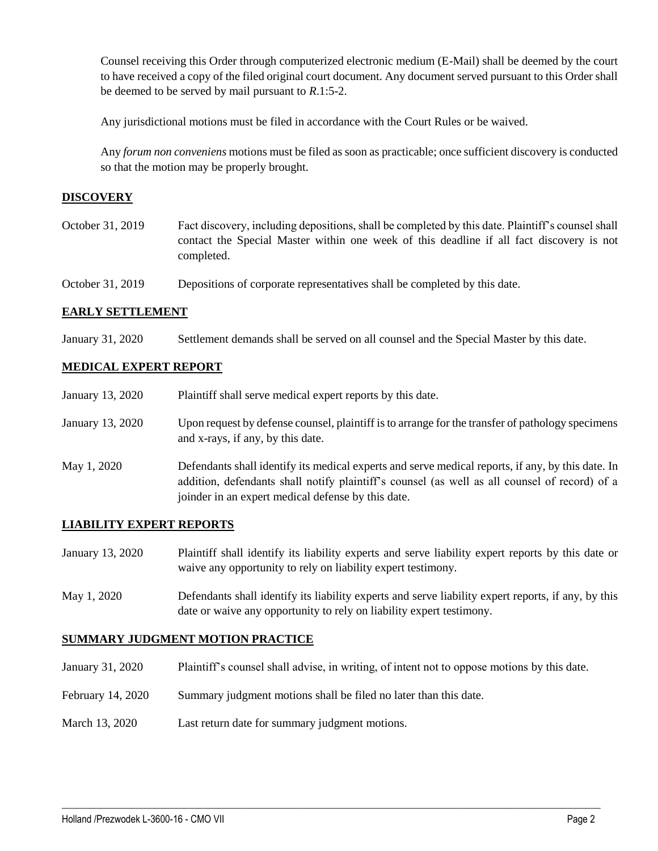Counsel receiving this Order through computerized electronic medium (E-Mail) shall be deemed by the court to have received a copy of the filed original court document. Any document served pursuant to this Order shall be deemed to be served by mail pursuant to *R*.1:5-2.

Any jurisdictional motions must be filed in accordance with the Court Rules or be waived.

Any *forum non conveniens* motions must be filed as soon as practicable; once sufficient discovery is conducted so that the motion may be properly brought.

## **DISCOVERY**

- October 31, 2019 Fact discovery, including depositions, shall be completed by this date. Plaintiff's counsel shall contact the Special Master within one week of this deadline if all fact discovery is not completed.
- October 31, 2019 Depositions of corporate representatives shall be completed by this date.

## **EARLY SETTLEMENT**

January 31, 2020 Settlement demands shall be served on all counsel and the Special Master by this date.

## **MEDICAL EXPERT REPORT**

| January 13, 2020 | Plaintiff shall serve medical expert reports by this date.                                                                                                                                                                                               |
|------------------|----------------------------------------------------------------------------------------------------------------------------------------------------------------------------------------------------------------------------------------------------------|
| January 13, 2020 | Upon request by defense counsel, plaintiff is to arrange for the transfer of pathology specimens<br>and x-rays, if any, by this date.                                                                                                                    |
| May 1, 2020      | Defendants shall identify its medical experts and serve medical reports, if any, by this date. In<br>addition, defendants shall notify plaintiff's counsel (as well as all counsel of record) of a<br>joinder in an expert medical defense by this date. |

## **LIABILITY EXPERT REPORTS**

- January 13, 2020 Plaintiff shall identify its liability experts and serve liability expert reports by this date or waive any opportunity to rely on liability expert testimony.
- May 1, 2020 Defendants shall identify its liability experts and serve liability expert reports, if any, by this date or waive any opportunity to rely on liability expert testimony.

## **SUMMARY JUDGMENT MOTION PRACTICE**

January 31, 2020 Plaintiff's counsel shall advise, in writing, of intent not to oppose motions by this date.

 $\_$  , and the set of the set of the set of the set of the set of the set of the set of the set of the set of the set of the set of the set of the set of the set of the set of the set of the set of the set of the set of th

- February 14, 2020 Summary judgment motions shall be filed no later than this date.
- March 13, 2020 Last return date for summary judgment motions.